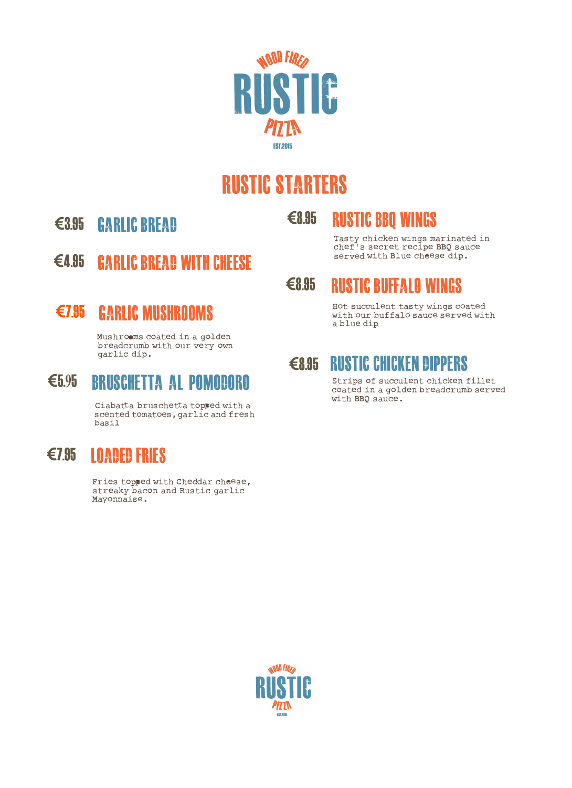

# **RUSTIC STARTERS**

**€3.85 GARLIC BREAD** 

- **€8.85 RUSTIC BBQ WINGS** 
	- Tasty chicken wings marinated in chef's secret recipe BBQ sauce served with Blue cheese dip.
- **€4.85 GARLIC BREAD WITH CHEESE**

Mushroems coated in a golden breadcrumb with our very own

## **€5.95 BRUSCHETTA AL POMODORO** Strips of succulent chicken fillet

Ciabatta bruschetta topped with a scented tomatoes, garlic and fresh basil

### **€7.85 LOADED FRIES**

Fries topped with Cheddar cheese, streaky bacon and Rustic garlic Mayonnaise.

#### **€8.85 RUSTIC BUFFALO WINGS**

**€7.85 GARLIC MUSHROOMS** Hot succulent tasty wings coated with our buffalo sauce served with a blue dip

# **€8.95 RUSTIC CHICKEN DIPPERS**<br>Strips of succulent chicken fillet

coated in a golden breadcrumb served with BBQ sauce.

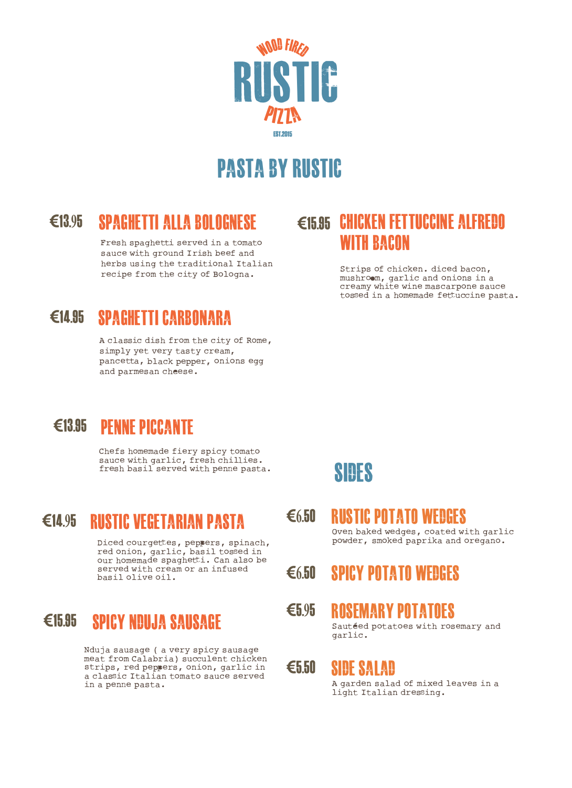

# **PASTA BY RUSTIC**

### **€13.95 SPAGHETTI ALLA BOLOGNESE**

Fresh spaghetti served in a tomato sauce with ground Irish beef and herbs using the traditional Italian recipe from the city of Bologna.

#### **€14.85 SPAGHETTI CARBONARA**

A classic dish from the city of Rome, simply yet very tasty cream, pancetta, black pepper, onions egg and parmesan cheese.

### **€15.85 CHICKEN FETTUCCINE ALFREDO WITH BACON**

Strips of chicken. diced bacon, mushroem, garlic and onions in a creamy white wine mascarpone sauce tossed in a homemade fettuccine pasta.

#### **€13.85 PENNE PICCANTE**

Chefs homemade fiery spicy tomato sauce with garlic, fresh chillies. fresh basil served with penne pasta.

#### **€14.95 RUSTIC VEGETARIAN PASTA**

Diced courgettes, peppers, spinach, red onion, garlic, basil tossed in our homemade spaghetti. Can also be served with cream or an infused basil olive oil.

#### **€15.85 SPICYNDUJA SAUSAGE**

Nduja sausage ( a very spicy sausage meat from Calabria) succulent chicken strips, red peppers, onion, garlic in a classic Italian tomato sauce served in a penne pasta.

### **SIDES**

- **€6.50 RUSTIC POTATO WEDGES**  Oven baked wedges, coated with garlic powder, smoked paprika and oregano.
- **€6.50 SPICY POTATO WEDGES**

#### **€5.95 ROSEMARY POTATOES**

Sautéed potatoes with rosemary and garlic.

#### **€5.50 SIDE SALAD**

A garden salad of mixed leaves in a light Italian dressing.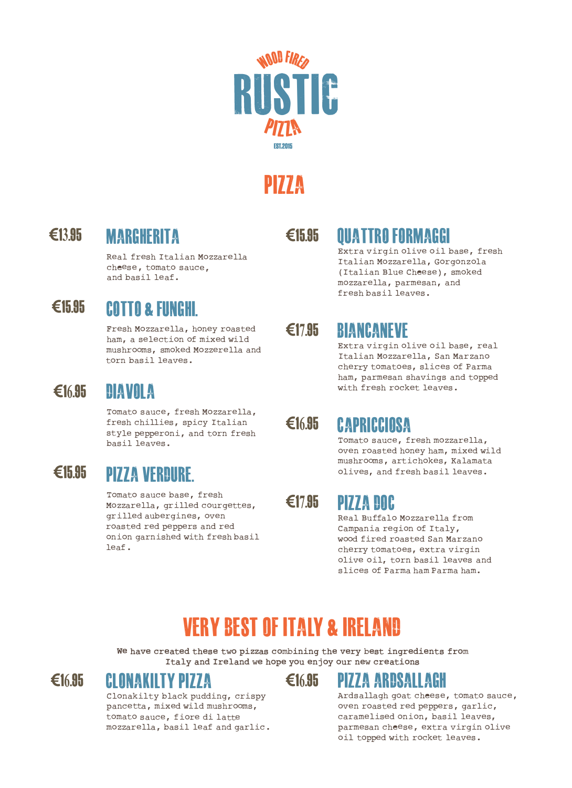

# **PIZZA**

**€13.85 MARGHERITA** 

**Real fresh Italian Mozzarella cheese, tomato sauce, and basil leaf.** 

#### **€15.85 COTTO & FUNGHI.**

**Fresh Mozzarella, honey roas ted ham, a selection of mixed wild mushrooms, smoked Mozzerella and torn basil leaves.** 

#### **€16.85 DIAVOLA**

**Tomato sauce, fresh Mozzarella, fresh chillies, spicy Italian style pepperoni, and torn fresh basil leaves.** 

#### **€15.85 PIZZA VERDURE.**

**Tomato sauce base, fresh Mozzarella, grilled courgettes, grilled aubergines, oven roas ted red peppers and red onion garnished with fresh basil leaf.** 

#### **€15.85**

### **QUATTRO FORMAGGI**

**Extra virgin olive oil base, fresh Italian Mozzarella, Gorgonzola ( Italian Blue Cheese) , smoked mozzarella, parmesan, and fresh basil leaves.** 

#### **€17.85 BIANCANEVE**

**Extra virgin olive oil base, real Italian Mozzarella, San Marzano cherry tomatoes, slices of Parma ham, parmesan shavings and topped with fresh rocket leaves.** 

#### **€16.85 CAPRICCIOSA**

**Tomato sauce, fresh mozzarella,**  oven roasted honey ham, mixed wild **mushrooms , artichokes, Kalamata olives, and fresh basil leaves.** 

#### **€17.85 PIZZA DOC**

**Real Buffalo Mozzarella from Campania region of Italy, wood fired roas ted San Marzano cherry tomatoes, extra virgin olive oil, torn basil leaves and slices of Parma ham Parma ham.** 

# **VERY BEST OF ITALY & IRELAND**

**we have created these two pizzas combining the very best ingredients from Italy and Ireland we hope you enjoy our new creations** 



#### **CLONAKIL TY PIZZA**

**Clonakilty black pudding, crispy pancetta, mixed wild mushrooms, tomato sauce, fiore di latte mozzarella, basil leaf and garlic.** 



### **€16.85 PIZZA ARDSALLAGH**

**Ard sallagh goat cheese, tomato sauce, oven roas ted red peppers, garlic, caramelised onion, basil leaves, parmesan cheese, extra virgin olive oil topped with rocket leaves.**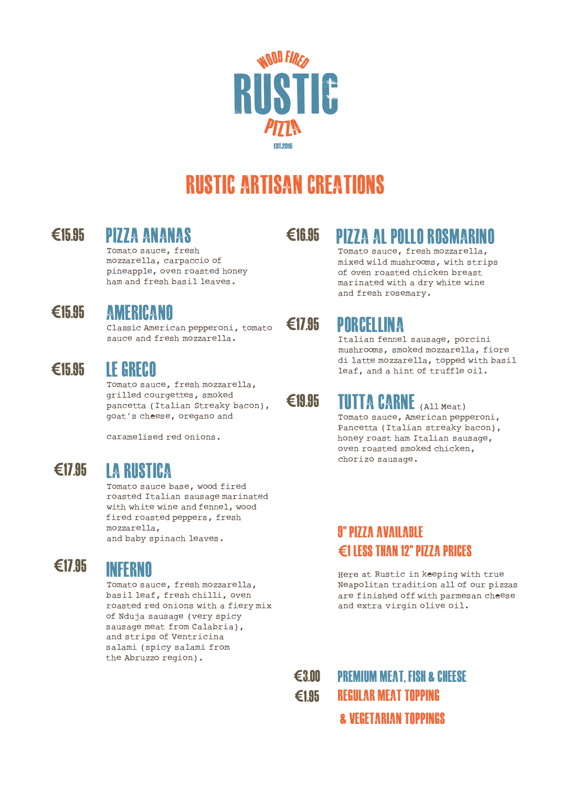

# **RUSTIC ARTISAN CREATIONS**

### **PIZZA ANANAS**

Tomato sauce, fresh mozzarella, carpaccio of pineapple, oven roasted honey ham and fresh basil leaves.

### **AMERICANO**

**€15.85 €17.85 PORCELLINA**  Classic American pepperoni, tomato sauce and fresh mozzarella.

#### **LE GRECO**

Tomato sauce, fresh mozzarella, grilled courgettes, smoked pancetta ( Italian Streaky bacon) , goat's cheese, oregano and

caramelised red onions.

#### **€17.85**

#### **LA RUSTICA**

Tomato sauce base, wood fired roasted Italian sausage marinated with white wine and fennel, wood fired roasted peppers, fresh mozzarella, and baby spinach leaves.

#### **€17.85**

#### **INFERNO**

Tomato sauce, fresh mozzarella, basil leaf, fresh chilli, oven roasted red onions with a fiery mix of Nduja sausage (very spicy sausage meat from Calabria), and strips of Ventricina salami ( spicy salami from the Abruzzo region) •

## **€15.85 €16.85 PIZZA AL POLLO ROSMARINO**

Tomato sauce, fresh mozzarella, mixed wild mushrooms, with strips of oven roasted chicken breast marinated with a dry white wine and fresh rosemary.

Italian fennel sausage, porcini mushrooms, smoked mozzarella, fiore<br>di latte mozzarella, topped with basil **€15.95 IF CRECO** and a hint of truffle oil.

#### **€18.85 fllff A CARNE** (All Meat)

Tomato sauce, American pepperoni, Pancetta ( Italian streaky bacon), honey roast ham Italian sausage, oven roasted smoked chicken, chorizo sausage.

#### **8"PIZZA AVAILABLE €1 LESS THAN 12" PIZZA PRICES**

Here at Rustic in keeping with true Neapolitan tradition all of our pizzas are finished off with parmesan cheese and extra virgin olive oil.

**€3.00 €1.85 PREMIUM MEAT. FISH & CHEESE REGULAR MEAT TOPPING & VEGETARIAN TOPPINGS**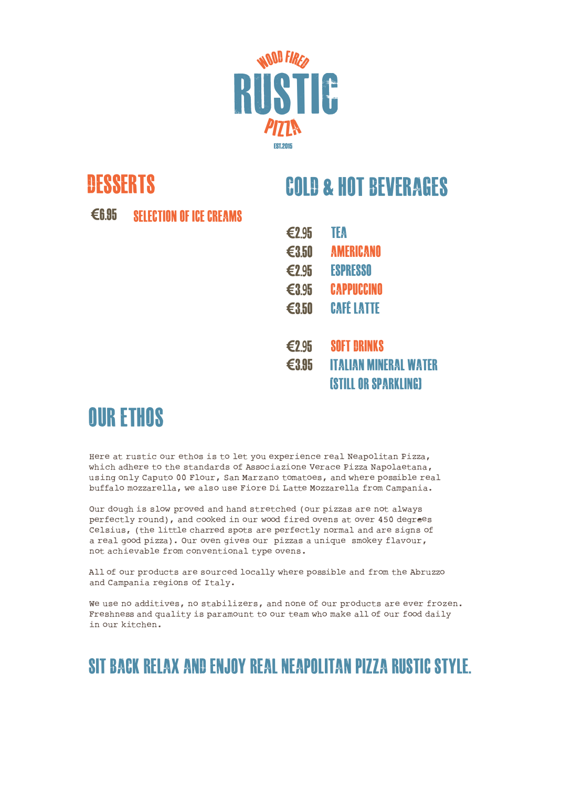

## **DESSERTS**

# **COLD & HOT BEVERAGES**

**€6.85 SELECTION OF ICE CREAMS** 

**€2.95 TEA €3.50 AMERICANO €2.95 ESPRESSO €3.95 CAPPUCCINO €3.50 CAFE LATTE €2.95 SOFT DRINKS €3.85 IT ALUIN MINERAL WATER [STILL ORSPARKLING]** 

# **OUR ETHOS**

Here at rustic our ethos is to let you experience real Neapolitan Pizza, which adhere to the standards of Associazione Verace Pizza Napolaetana, using only Caputo 00 Flour, San Marzano tomatoes, and where possible real buffalo mozzarella, we also use Fiore Di Latte Mozzarella from Campania.

Our dough is slow proved and hand stretched (our pizzas are not always perfectly round), and cooked in our wood fired ovens at over 450 degrees Celsius, (the little charred spots are perfectly normal and are signs of a real good pizza). Our oven gives our pizzas a unique smokey flavour, not achievable from conventional type ovens.

All of our products are sourced locally where possible and from the Abruzzo and Campania regions of Italy.

we use no additives, no stabilizers, and none of our products are ever frozen. Freshness and quality is paramount to our team who make all of our food daily in our kitchen.

#### **SIT BACK RELAX AND ENJOY REAL NEAPOLITAN PIZZA RUSTIC STYLE.**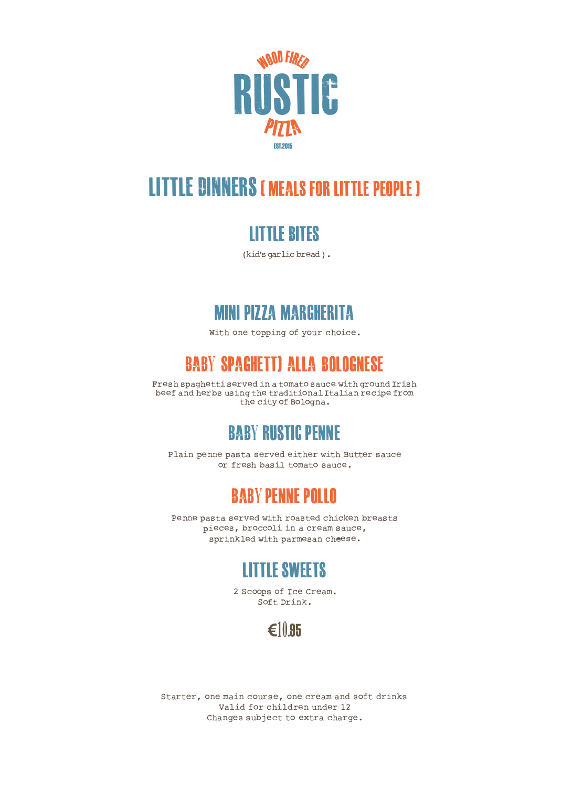

# **LITTLE DINNERS I MEALS FORLITTLE PEOPLE I**

#### **LITTLE BITES**

**(kid's garlic bread ).** 

#### **MINI PIZZA MARGHERITA**

With one topping of your choice.

### **BABY SPAGHETTI ALLA BOLOGNESE**

**Fresh spaghetti served in a tomato sauce with ground Irish beef and herbs using the traditional Italian recipe from the city of Bologna.** 

#### **BABY RUSTIC PENNE**

**Plain penne pasta served either with Butter sauce or fresh basil tomato sauce.** 

#### **BABY PENNE POLLO**

**Penne pasta served with roasted chicken breasts pieces, broccoli in a cream sauce, sprinkled with parmesan cheese.** 

### **LITTLE SWEETS**

**2 Scoops of Ice Cream. Soft Drink.** 



**Starter, one main course, one cream and soft drinks Valid for children under 12 Changes subject to extra charge.**